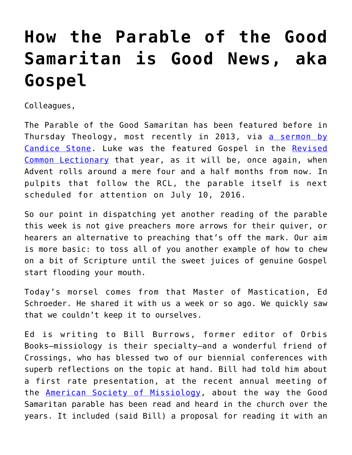## **[How the Parable of the Good](https://crossings.org/how-the-parable-of-the-good-samaritan-is-good-news-aka-gospel/) [Samaritan is Good News, aka](https://crossings.org/how-the-parable-of-the-good-samaritan-is-good-news-aka-gospel/) [Gospel](https://crossings.org/how-the-parable-of-the-good-samaritan-is-good-news-aka-gospel/)**

Colleagues,

The Parable of the Good Samaritan has been featured before in Thursday Theology, most recently in 2013, via [a sermon by](https://crossings.org/thursday/2013/thur072513.shtml) [Candice Stone.](https://crossings.org/thursday/2013/thur072513.shtml) Luke was the featured Gospel in the [Revised](http://lectionary.library.vanderbilt.edu/) [Common Lectionary](http://lectionary.library.vanderbilt.edu/) that year, as it will be, once again, when Advent rolls around a mere four and a half months from now. In pulpits that follow the RCL, the parable itself is next scheduled for attention on July 10, 2016.

So our point in dispatching yet another reading of the parable this week is not give preachers more arrows for their quiver, or hearers an alternative to preaching that's off the mark. Our aim is more basic: to toss all of you another example of how to chew on a bit of Scripture until the sweet juices of genuine Gospel start flooding your mouth.

Today's morsel comes from that Master of Mastication, Ed Schroeder. He shared it with us a week or so ago. We quickly saw that we couldn't keep it to ourselves.

Ed is writing to Bill Burrows, former editor of Orbis Books—missiology is their specialty—and a wonderful friend of Crossings, who has blessed two of our biennial conferences with superb reflections on the topic at hand. Bill had told him about a first rate presentation, at the recent annual meeting of the **American Society of Missiology**, about the way the Good Samaritan parable has been read and heard in the church over the years. It included (said Bill) a proposal for reading it with an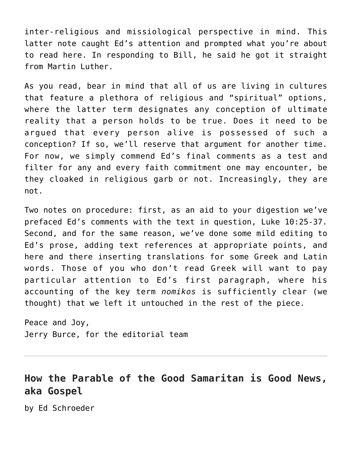inter-religious and missiological perspective in mind. This latter note caught Ed's attention and prompted what you're about to read here. In responding to Bill, he said he got it straight from Martin Luther.

As you read, bear in mind that all of us are living in cultures that feature a plethora of religious and "spiritual" options, where the latter term designates any conception of ultimate reality that a person holds to be true. Does it need to be argued that every person alive is possessed of such a conception? If so, we'll reserve that argument for another time. For now, we simply commend Ed's final comments as a test and filter for any and every faith commitment one may encounter, be they cloaked in religious garb or not. Increasingly, they are not.

Two notes on procedure: first, as an aid to your digestion we've prefaced Ed's comments with the text in question, Luke 10:25-37. Second, and for the same reason, we've done some mild editing to Ed's prose, adding text references at appropriate points, and here and there inserting translations for some Greek and Latin words. Those of you who don't read Greek will want to pay particular attention to Ed's first paragraph, where his accounting of the key term *nomikos* is sufficiently clear (we thought) that we left it untouched in the rest of the piece.

Peace and Joy, Jerry Burce, for the editorial team

## **How the Parable of the Good Samaritan is Good News, aka Gospel**

by Ed Schroeder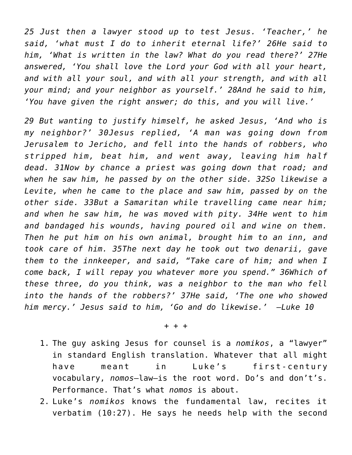*25 Just then a lawyer stood up to test Jesus. 'Teacher,' he said, 'what must I do to inherit eternal life?' 26He said to him, 'What is written in the law? What do you read there?' 27He answered, 'You shall love the Lord your God with all your heart, and with all your soul, and with all your strength, and with all your mind; and your neighbor as yourself.' 28And he said to him, 'You have given the right answer; do this, and you will live.'* 

*29 But wanting to justify himself, he asked Jesus, 'And who is my neighbor?' 30Jesus replied, 'A man was going down from Jerusalem to Jericho, and fell into the hands of robbers, who stripped him, beat him, and went away, leaving him half dead. 31Now by chance a priest was going down that road; and when he saw him, he passed by on the other side. 32So likewise a Levite, when he came to the place and saw him, passed by on the other side. 33But a Samaritan while travelling came near him; and when he saw him, he was moved with pity. 34He went to him and bandaged his wounds, having poured oil and wine on them. Then he put him on his own animal, brought him to an inn, and took care of him. 35The next day he took out two denarii, gave them to the innkeeper, and said, "Take care of him; and when I come back, I will repay you whatever more you spend." 36Which of these three, do you think, was a neighbor to the man who fell into the hands of the robbers?' 37He said, 'The one who showed him mercy.' Jesus said to him, 'Go and do likewise.' —Luke 10*

## + + +

- 1. The guy asking Jesus for counsel is a *nomikos*, a "lawyer" in standard English translation. Whatever that all might have meant in Luke's first-century vocabulary, *nomos*—law—is the root word. Do's and don't's. Performance. That's what *nomos* is about.
- 2. Luke's *nomikos* knows the fundamental law, recites it verbatim (10:27). He says he needs help with the second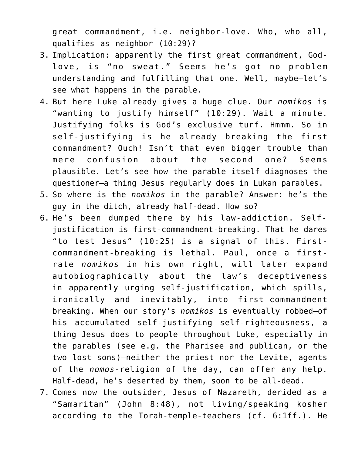great commandment, i.e. neighbor-love. Who, who all, qualifies as neighbor (10:29)?

- 3. Implication: apparently the first great commandment, Godlove, is "no sweat." Seems he's got no problem understanding and fulfilling that one. Well, maybe–let's see what happens in the parable.
- 4. But here Luke already gives a huge clue. Our *nomikos* is "wanting to justify himself" (10:29). Wait a minute. Justifying folks is God's exclusive turf. Hmmm. So in self-justifying is he already breaking the first commandment? Ouch! Isn't that even bigger trouble than mere confusion about the second one? Seems plausible. Let's see how the parable itself diagnoses the questioner—a thing Jesus regularly does in Lukan parables.
- 5. So where is the *nomikos* in the parable? Answer: he's the guy in the ditch, already half-dead. How so?
- 6. He's been dumped there by his law-addiction. Selfjustification is first-commandment-breaking. That he dares "to test Jesus" (10:25) is a signal of this. Firstcommandment-breaking is lethal. Paul, once a firstrate *nomikos* in his own right, will later expand autobiographically about the law's deceptiveness in apparently urging self-justification, which spills, ironically and inevitably, into first-commandment breaking. When our story's *nomikos* is eventually robbed—of his accumulated self-justifying self-righteousness, a thing Jesus does to people throughout Luke, especially in the parables (see e.g. the Pharisee and publican, or the two lost sons)—neither the priest nor the Levite, agents of the *nomos*-religion of the day, can offer any help. Half-dead, he's deserted by them, soon to be all-dead.
- 7. Comes now the outsider, Jesus of Nazareth, derided as a "Samaritan" (John 8:48), not living/speaking kosher according to the Torah-temple-teachers (cf. 6:1ff.). He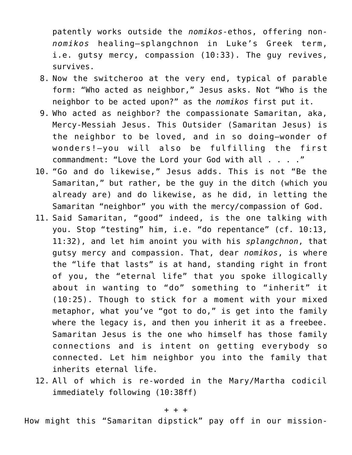patently works outside the *nomikos*-ethos, offering non*nomikos* healing—splangchnon in Luke's Greek term, i.e. gutsy mercy, compassion (10:33). The guy revives, survives.

- 8. Now the switcheroo at the very end, typical of parable form: "Who acted as neighbor," Jesus asks. Not "Who is the neighbor to be acted upon?" as the *nomikos* first put it.
- 9. Who acted as neighbor? the compassionate Samaritan, aka, Mercy-Messiah Jesus. This Outsider (Samaritan Jesus) is the neighbor to be loved, and in so doing—wonder of wonders!—you will also be fulfilling the first commandment: "Love the Lord your God with all . . . ."
- 10. "Go and do likewise," Jesus adds. This is not "Be the Samaritan," but rather, be the guy in the ditch (which you already are) and do likewise, as he did, in letting the Samaritan "neighbor" you with the mercy/compassion of God.
- 11. Said Samaritan, "good" indeed, is the one talking with you. Stop "testing" him, i.e. "do repentance" (cf. 10:13, 11:32), and let him anoint you with his *splangchnon*, that gutsy mercy and compassion. That, dear *nomikos*, is where the "life that lasts" is at hand, standing right in front of you, the "eternal life" that you spoke illogically about in wanting to "do" something to "inherit" it (10:25). Though to stick for a moment with your mixed metaphor, what you've "got to do," is get into the family where the legacy is, and then you inherit it as a freebee. Samaritan Jesus is the one who himself has those family connections and is intent on getting everybody so connected. Let him neighbor you into the family that inherits eternal life.
- 12. All of which is re-worded in the Mary/Martha codicil immediately following (10:38ff)

## + + +

How might this "Samaritan dipstick" pay off in our mission-